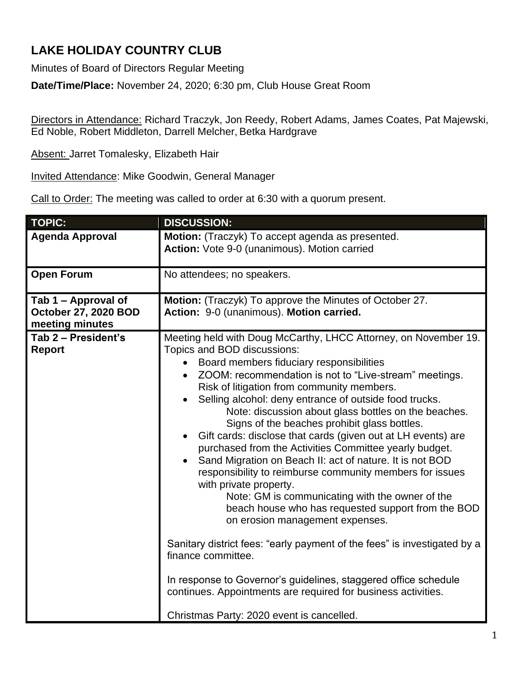## **LAKE HOLIDAY COUNTRY CLUB**

Minutes of Board of Directors Regular Meeting

**Date/Time/Place:** November 24, 2020; 6:30 pm, Club House Great Room

Directors in Attendance: Richard Traczyk, Jon Reedy, Robert Adams, James Coates, Pat Majewski, Ed Noble, Robert Middleton, Darrell Melcher, Betka Hardgrave

Absent: Jarret Tomalesky, Elizabeth Hair

Invited Attendance: Mike Goodwin, General Manager

Call to Order: The meeting was called to order at 6:30 with a quorum present.

| <b>TOPIC:</b>                                                  | <b>DISCUSSION:</b>                                                                                                                                                                                                                                                                                                                                                                                                                                                                                                                                                                                                                                                                                                                                                                                                                                                                                                                                                                                                                                                                                                                                                     |
|----------------------------------------------------------------|------------------------------------------------------------------------------------------------------------------------------------------------------------------------------------------------------------------------------------------------------------------------------------------------------------------------------------------------------------------------------------------------------------------------------------------------------------------------------------------------------------------------------------------------------------------------------------------------------------------------------------------------------------------------------------------------------------------------------------------------------------------------------------------------------------------------------------------------------------------------------------------------------------------------------------------------------------------------------------------------------------------------------------------------------------------------------------------------------------------------------------------------------------------------|
| <b>Agenda Approval</b>                                         | Motion: (Traczyk) To accept agenda as presented.<br>Action: Vote 9-0 (unanimous). Motion carried                                                                                                                                                                                                                                                                                                                                                                                                                                                                                                                                                                                                                                                                                                                                                                                                                                                                                                                                                                                                                                                                       |
| <b>Open Forum</b>                                              | No attendees; no speakers.                                                                                                                                                                                                                                                                                                                                                                                                                                                                                                                                                                                                                                                                                                                                                                                                                                                                                                                                                                                                                                                                                                                                             |
| Tab 1 - Approval of<br>October 27, 2020 BOD<br>meeting minutes | Motion: (Traczyk) To approve the Minutes of October 27.<br>Action: 9-0 (unanimous). Motion carried.                                                                                                                                                                                                                                                                                                                                                                                                                                                                                                                                                                                                                                                                                                                                                                                                                                                                                                                                                                                                                                                                    |
| Tab 2 - President's<br><b>Report</b>                           | Meeting held with Doug McCarthy, LHCC Attorney, on November 19.<br>Topics and BOD discussions:<br>Board members fiduciary responsibilities<br>ZOOM: recommendation is not to "Live-stream" meetings.<br>$\bullet$<br>Risk of litigation from community members.<br>Selling alcohol: deny entrance of outside food trucks.<br>$\bullet$<br>Note: discussion about glass bottles on the beaches.<br>Signs of the beaches prohibit glass bottles.<br>Gift cards: disclose that cards (given out at LH events) are<br>$\bullet$<br>purchased from the Activities Committee yearly budget.<br>Sand Migration on Beach II: act of nature. It is not BOD<br>responsibility to reimburse community members for issues<br>with private property.<br>Note: GM is communicating with the owner of the<br>beach house who has requested support from the BOD<br>on erosion management expenses.<br>Sanitary district fees: "early payment of the fees" is investigated by a<br>finance committee.<br>In response to Governor's guidelines, staggered office schedule<br>continues. Appointments are required for business activities.<br>Christmas Party: 2020 event is cancelled. |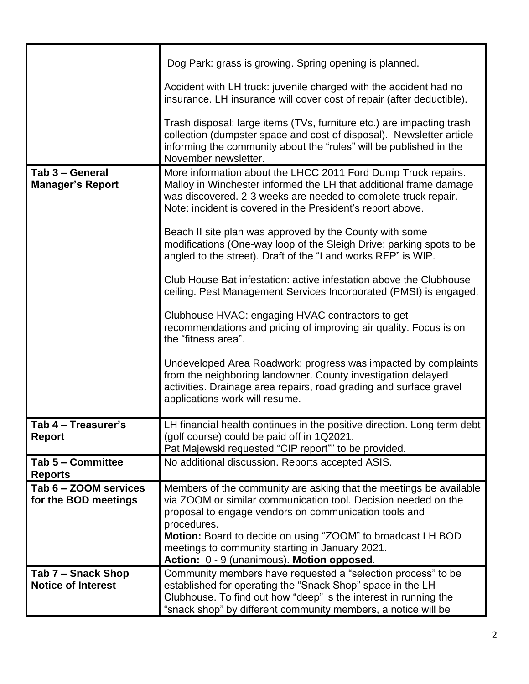|                                                 | Dog Park: grass is growing. Spring opening is planned.                                                                                                                                                                                                                                                                                                                       |
|-------------------------------------------------|------------------------------------------------------------------------------------------------------------------------------------------------------------------------------------------------------------------------------------------------------------------------------------------------------------------------------------------------------------------------------|
|                                                 | Accident with LH truck: juvenile charged with the accident had no<br>insurance. LH insurance will cover cost of repair (after deductible).                                                                                                                                                                                                                                   |
|                                                 | Trash disposal: large items (TVs, furniture etc.) are impacting trash<br>collection (dumpster space and cost of disposal). Newsletter article<br>informing the community about the "rules" will be published in the<br>November newsletter.                                                                                                                                  |
| Tab 3 - General<br><b>Manager's Report</b>      | More information about the LHCC 2011 Ford Dump Truck repairs.<br>Malloy in Winchester informed the LH that additional frame damage<br>was discovered. 2-3 weeks are needed to complete truck repair.<br>Note: incident is covered in the President's report above.                                                                                                           |
|                                                 | Beach II site plan was approved by the County with some<br>modifications (One-way loop of the Sleigh Drive; parking spots to be<br>angled to the street). Draft of the "Land works RFP" is WIP.                                                                                                                                                                              |
|                                                 | Club House Bat infestation: active infestation above the Clubhouse<br>ceiling. Pest Management Services Incorporated (PMSI) is engaged.                                                                                                                                                                                                                                      |
|                                                 | Clubhouse HVAC: engaging HVAC contractors to get<br>recommendations and pricing of improving air quality. Focus is on<br>the "fitness area".                                                                                                                                                                                                                                 |
|                                                 | Undeveloped Area Roadwork: progress was impacted by complaints<br>from the neighboring landowner. County investigation delayed<br>activities. Drainage area repairs, road grading and surface gravel<br>applications work will resume.                                                                                                                                       |
| Tab 4 - Treasurer's                             | LH financial health continues in the positive direction. Long term debt                                                                                                                                                                                                                                                                                                      |
| <b>Report</b>                                   | (golf course) could be paid off in 1Q2021.                                                                                                                                                                                                                                                                                                                                   |
|                                                 | Pat Majewski requested "CIP report"" to be provided.                                                                                                                                                                                                                                                                                                                         |
| Tab 5 - Committee<br><b>Reports</b>             | No additional discussion. Reports accepted ASIS.                                                                                                                                                                                                                                                                                                                             |
| Tab 6 - ZOOM services<br>for the BOD meetings   | Members of the community are asking that the meetings be available<br>via ZOOM or similar communication tool. Decision needed on the<br>proposal to engage vendors on communication tools and<br>procedures.<br>Motion: Board to decide on using "ZOOM" to broadcast LH BOD<br>meetings to community starting in January 2021.<br>Action: 0 - 9 (unanimous). Motion opposed. |
| Tab 7 – Snack Shop<br><b>Notice of Interest</b> | Community members have requested a "selection process" to be<br>established for operating the "Snack Shop" space in the LH<br>Clubhouse. To find out how "deep" is the interest in running the<br>"snack shop" by different community members, a notice will be                                                                                                              |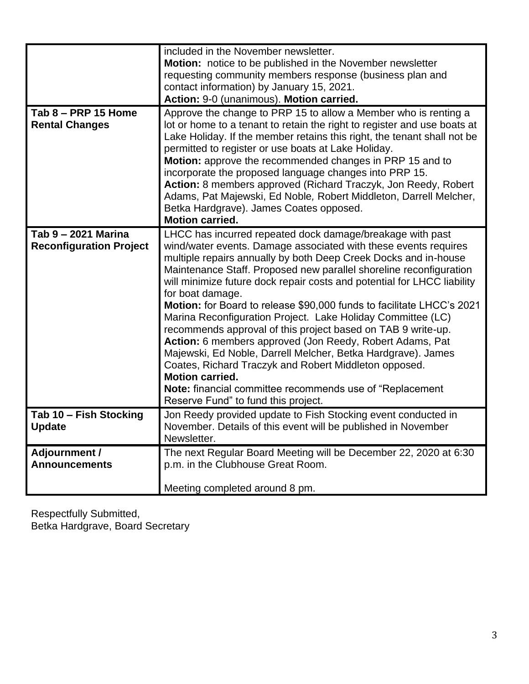| Tab 8 - PRP 15 Home<br><b>Rental Changes</b>          | included in the November newsletter.<br><b>Motion:</b> notice to be published in the November newsletter<br>requesting community members response (business plan and<br>contact information) by January 15, 2021.<br>Action: 9-0 (unanimous). Motion carried.<br>Approve the change to PRP 15 to allow a Member who is renting a<br>lot or home to a tenant to retain the right to register and use boats at<br>Lake Holiday. If the member retains this right, the tenant shall not be<br>permitted to register or use boats at Lake Holiday.                                                                                                                                                                                                                                                                                                                                                         |
|-------------------------------------------------------|--------------------------------------------------------------------------------------------------------------------------------------------------------------------------------------------------------------------------------------------------------------------------------------------------------------------------------------------------------------------------------------------------------------------------------------------------------------------------------------------------------------------------------------------------------------------------------------------------------------------------------------------------------------------------------------------------------------------------------------------------------------------------------------------------------------------------------------------------------------------------------------------------------|
|                                                       | Motion: approve the recommended changes in PRP 15 and to<br>incorporate the proposed language changes into PRP 15.<br>Action: 8 members approved (Richard Traczyk, Jon Reedy, Robert<br>Adams, Pat Majewski, Ed Noble, Robert Middleton, Darrell Melcher,<br>Betka Hardgrave). James Coates opposed.<br><b>Motion carried.</b>                                                                                                                                                                                                                                                                                                                                                                                                                                                                                                                                                                         |
| Tab 9 - 2021 Marina<br><b>Reconfiguration Project</b> | LHCC has incurred repeated dock damage/breakage with past<br>wind/water events. Damage associated with these events requires<br>multiple repairs annually by both Deep Creek Docks and in-house<br>Maintenance Staff. Proposed new parallel shoreline reconfiguration<br>will minimize future dock repair costs and potential for LHCC liability<br>for boat damage.<br>Motion: for Board to release \$90,000 funds to facilitate LHCC's 2021<br>Marina Reconfiguration Project. Lake Holiday Committee (LC)<br>recommends approval of this project based on TAB 9 write-up.<br>Action: 6 members approved (Jon Reedy, Robert Adams, Pat<br>Majewski, Ed Noble, Darrell Melcher, Betka Hardgrave). James<br>Coates, Richard Traczyk and Robert Middleton opposed.<br><b>Motion carried.</b><br><b>Note:</b> financial committee recommends use of "Replacement"<br>Reserve Fund" to fund this project. |
| Tab 10 - Fish Stocking<br><b>Update</b>               | Jon Reedy provided update to Fish Stocking event conducted in<br>November. Details of this event will be published in November<br>Newsletter.                                                                                                                                                                                                                                                                                                                                                                                                                                                                                                                                                                                                                                                                                                                                                          |
| <b>Adjournment /</b><br><b>Announcements</b>          | The next Regular Board Meeting will be December 22, 2020 at 6:30<br>p.m. in the Clubhouse Great Room.<br>Meeting completed around 8 pm.                                                                                                                                                                                                                                                                                                                                                                                                                                                                                                                                                                                                                                                                                                                                                                |

Respectfully Submitted, Betka Hardgrave, Board Secretary